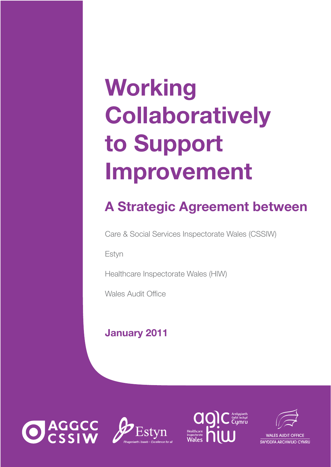# **Working<br>Collaboratively** to Support **Improveme Improvement**

# **A Strategic Agreement between**

Care & Social Services Inspectorate Wales (CSSIW)

Estyn

Healthcare Inspectorate Wales (HIW)

Wales Audit Office

# **January 2011**







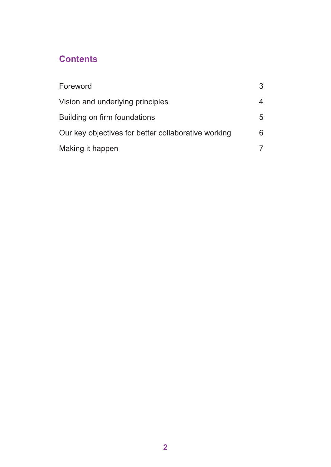# **Contents**

| Foreword                                            | 3 |
|-----------------------------------------------------|---|
| Vision and underlying principles                    | 4 |
| Building on firm foundations                        | 5 |
| Our key objectives for better collaborative working | 6 |
| Making it happen                                    |   |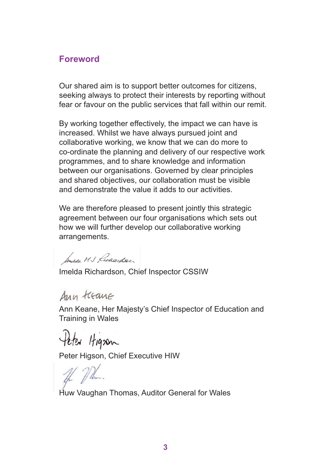#### **Foreword**

Our shared aim is to support better outcomes for citizens, seeking always to protect their interests by reporting without fear or favour on the public services that fall within our remit.

By working together effectively, the impact we can have is increased. Whilst we have always pursued joint and collaborative working, we know that we can do more to co-ordinate the planning and delivery of our respective work programmes, and to share knowledge and information between our organisations. Governed by clear principles and shared objectives, our collaboration must be visible and demonstrate the value it adds to our activities.

We are therefore pleased to present jointly this strategic agreement between our four organisations which sets out how we will further develop our collaborative working arrangements.

Inusa MJ Lichardson

Imelda Richardson, Chief Inspector CSSIW

Ann treane

Ann Keane, Her Majesty's Chief Inspector of Education and Training in Wales

Peter Hignen

Peter Higson, Chief Executive HIW

If Mr.

Huw Vaughan Thomas, Auditor General for Wales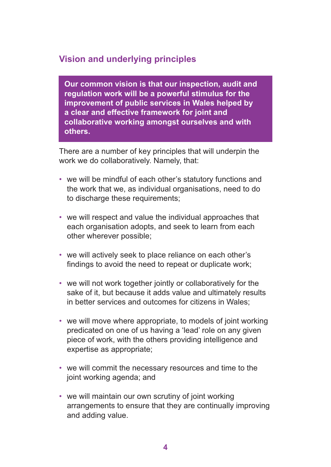## **Vision and underlying principles**

**Our common vision is that our inspection, audit and regulation work will be a powerful stimulus for the improvement of public services in Wales helped by a clear and effective framework for joint and collaborative working amongst ourselves and with others.** 

There are a number of key principles that will underpin the work we do collaboratively. Namely, that:

- we will be mindful of each other's statutory functions and the work that we, as individual organisations, need to do to discharge these requirements;
- we will respect and value the individual approaches that each organisation adopts, and seek to learn from each other wherever possible;
- we will actively seek to place reliance on each other's findings to avoid the need to repeat or duplicate work;
- we will not work together jointly or collaboratively for the sake of it, but because it adds value and ultimately results in better services and outcomes for citizens in Wales;
- we will move where appropriate, to models of joint working predicated on one of us having a 'lead' role on any given piece of work, with the others providing intelligence and expertise as appropriate;
- we will commit the necessary resources and time to the joint working agenda; and
- we will maintain our own scrutiny of joint working arrangements to ensure that they are continually improving and adding value.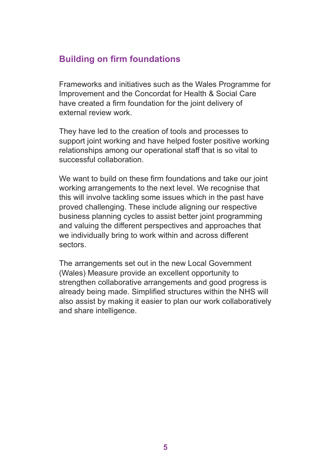# **Building on firm foundations**

Frameworks and initiatives such as the Wales Programme for Improvement and the Concordat for Health & Social Care have created a firm foundation for the joint delivery of external review work.

They have led to the creation of tools and processes to support joint working and have helped foster positive working relationships among our operational staff that is so vital to successful collaboration.

We want to build on these firm foundations and take our joint working arrangements to the next level. We recognise that this will involve tackling some issues which in the past have proved challenging. These include aligning our respective business planning cycles to assist better joint programming and valuing the different perspectives and approaches that we individually bring to work within and across different sectors.

The arrangements set out in the new Local Government (Wales) Measure provide an excellent opportunity to strengthen collaborative arrangements and good progress is already being made. Simplified structures within the NHS will also assist by making it easier to plan our work collaboratively and share intelligence.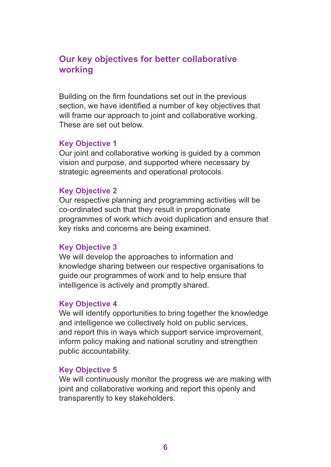#### **Our key objectives for better collaborative working**

Building on the firm foundations set out in the previous section, we have identified a number of key objectives that will frame our approach to joint and collaborative working. These are set out below.

#### **Key Objective 1**

Our joint and collaborative working is guided by a common vision and purpose, and supported where necessary by strategic agreements and operational protocols.

#### **Key Objective 2**

Our respective planning and programming activities will be co-ordinated such that they result in proportionate programmes of work which avoid duplication and ensure that key risks and concerns are being examined.

#### **Key Objective 3**

We will develop the approaches to information and knowledge sharing between our respective organisations to guide our programmes of work and to help ensure that intelligence is actively and promptly shared.

#### **Key Objective 4**

We will identify opportunities to bring together the knowledge and intelligence we collectively hold on public services, and report this in ways which support service improvement, inform policy making and national scrutiny and strengthen public accountability.

#### **Key Objective 5**

We will continuously monitor the progress we are making with joint and collaborative working and report this openly and transparently to key stakeholders.